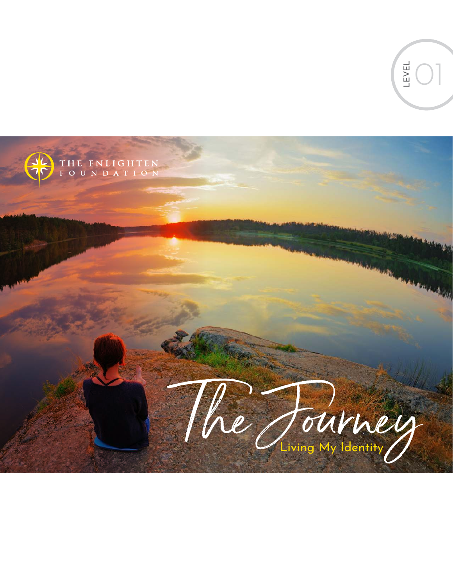EC THE ENLIGHTEN<br>FOUNDATION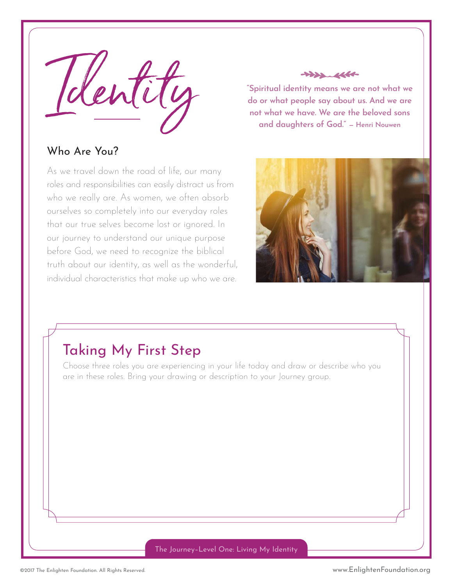

#### Who Are You?

As we travel down the road of life, our many roles and responsibilities can easily distract us from who we really are. As women, we often absorb ourselves so completely into our everyday roles that our true selves become lost or ignored. In our journey to understand our unique purpose before God, we need to recognize the biblical truth about our identity, as well as the wonderful, individual characteristics that make up who we are.



**"Spiritual identity means we are not what we do or what people say about us. And we are not what we have. We are the beloved sons and daughters of God." — Henri Nouwen** 



### Taking My First Step

Choose three roles you are experiencing in your life today and draw or describe who you are in these roles. Bring your drawing or description to your Journey group.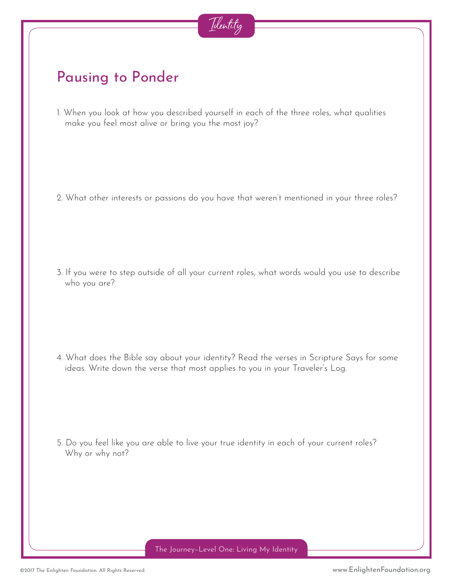

### Pausing to Ponder

1. When you look at how you described yourself in each of the three roles, what qualities make you feel most alive or bring you the most joy?

2. What other interests or passions do you have that weren't mentioned in your three roles?

3. If you were to step outside of all your current roles, what words would you use to describe who you are?

4. What does the Bible say about your identity? Read the verses in Scripture Says for some ideas. Write down the verse that most applies to you in your Traveler's Log.

5. Do you feel like you are able to live your true identity in each of your current roles? Why or why not?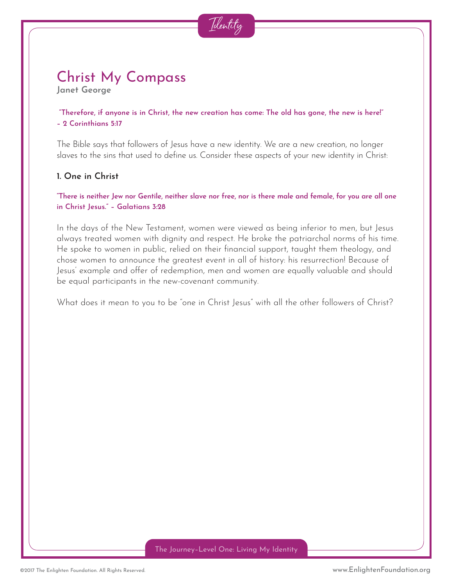

#### Christ My Compass **Janet George**

 **"Therefore, if anyone is in Christ, the new creation has come: The old has gone, the new is here!" – 2 Corinthians 5:17**

The Bible says that followers of Jesus have a new identity. We are a new creation, no longer slaves to the sins that used to define us. Consider these aspects of your new identity in Christ:

#### **1. One in Christ**

**"There is neither Jew nor Gentile, neither slave nor free, nor is there male and female, for you are all one in Christ Jesus." – Galatians 3:28** 

In the days of the New Testament, women were viewed as being inferior to men, but Jesus always treated women with dignity and respect. He broke the patriarchal norms of his time. He spoke to women in public, relied on their financial support, taught them theology, and chose women to announce the greatest event in all of history: his resurrection! Because of Jesus' example and offer of redemption, men and women are equally valuable and should be equal participants in the new-covenant community.

What does it mean to you to be "one in Christ Jesus" with all the other followers of Christ?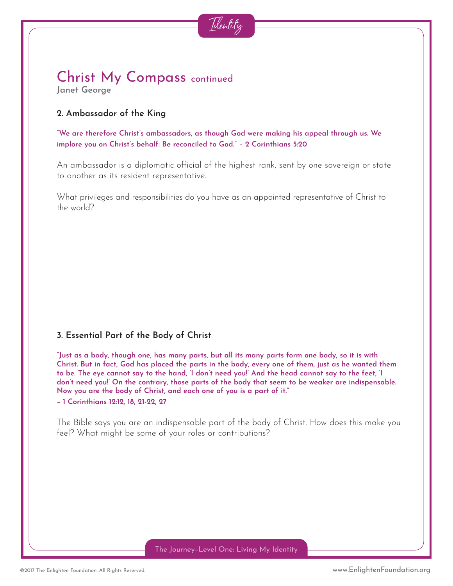

#### Christ My Compass continued **Janet George**

#### **2. Ambassador of the King**

**"We are therefore Christ's ambassadors, as though God were making his appeal through us. We implore you on Christ's behalf: Be reconciled to God." – 2 Corinthians 5:20** 

An ambassador is a diplomatic official of the highest rank, sent by one sovereign or state to another as its resident representative.

What privileges and responsibilities do you have as an appointed representative of Christ to the world?

#### **3. Essential Part of the Body of Christ**

**"Just as a body, though one, has many parts, but all its many parts form one body, so it is with Christ. But in fact, God has placed the parts in the body, every one of them, just as he wanted them to be. The eye cannot say to the hand, 'I don't need you!' And the head cannot say to the feet, 'I don't need you!' On the contrary, those parts of the body that seem to be weaker are indispensable. Now you are the body of Christ, and each one of you is a part of it." – 1 Corinthians 12:12, 18, 21-22, 27** 

The Bible says you are an indispensable part of the body of Christ. How does this make you feel? What might be some of your roles or contributions?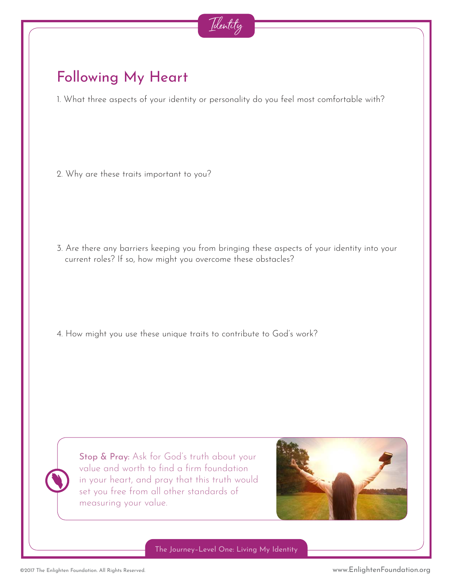

### Following My Heart

1. What three aspects of your identity or personality do you feel most comfortable with?

2. Why are these traits important to you?

3. Are there any barriers keeping you from bringing these aspects of your identity into your current roles? If so, how might you overcome these obstacles?

4. How might you use these unique traits to contribute to God's work?

Stop & Pray: Ask for God's truth about your value and worth to find a firm foundation in your heart, and pray that this truth would set you free from all other standards of measuring your value.

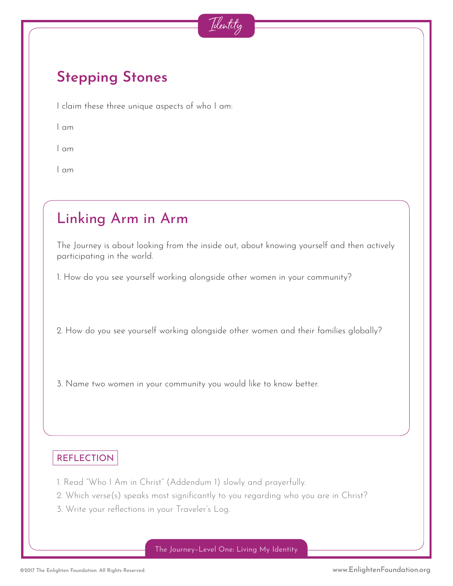

### **Stepping Stones**

I claim these three unique aspects of who I am:

I am

I am

I am

### Linking Arm in Arm

The Journey is about looking from the inside out, about knowing yourself and then actively participating in the world.

1. How do you see yourself working alongside other women in your community?

2. How do you see yourself working alongside other women and their families globally?

3. Name two women in your community you would like to know better.

#### **REFLECTION**

- 1. Read "Who I Am in Christ" (Addendum 1) slowly and prayerfully.
- 2. Which verse(s) speaks most significantly to you regarding who you are in Christ?
- 3. Write your reflections in your Traveler's Log.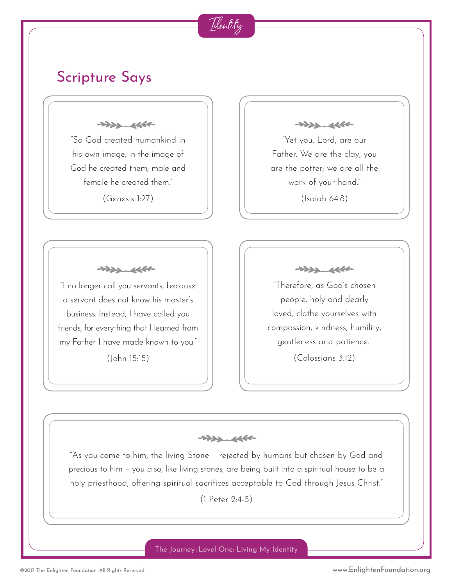### Scripture Says

 $+222.4660$ 

"So God created humankind in his own image, in the image of God he created them; male and female he created them"

(Genesis 1:27)

 $+222.4660$ 

"Yet you, Lord, are our Father. We are the clay, you are the potter; we are all the work of your hand." (Isaiah 64:8)

 $+222.466+$ 

"I no longer call you servants, because a servant does not know his master's business. Instead, I have called you friends, for everything that I learned from my Father I have made known to you."

(John 15:15)

 $+222.4660$ 

"Therefore, as God's chosen people, holy and dearly loved, clothe yourselves with compassion, kindness, humility, gentleness and patience."

(Colossians 3:12)

 $+222.4664$ 

Identity

"As you come to him, the living Stone – rejected by humans but chosen by God and precious to him – you also, like living stones, are being built into a spiritual house to be a holy priesthood, offering spiritual sacrifices acceptable to God through Jesus Christ."

(1 Peter 2:4-5)

The Journey–Level One: Living My Identity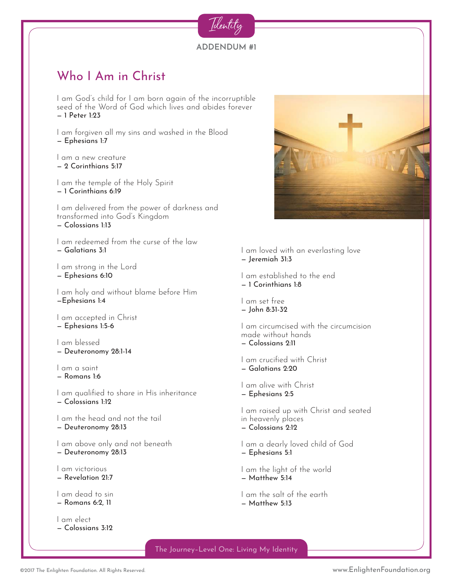#### **ADDENDUM #1**

Identity

#### Who I Am in Christ

I am God's child for I am born again of the incorruptible seed of the Word of God which lives and abides forever — 1 Peter 1:23

I am forgiven all my sins and washed in the Blood — Ephesians 1:7

I am a new creature — 2 Corinthians 5:17

I am the temple of the Holy Spirit — 1 Corinthians 6:19

I am delivered from the power of darkness and transformed into God's Kingdom — Colossians 1:13

I am redeemed from the curse of the law — Galatians 3:1

I am strong in the Lord — Ephesians 6:10

I am holy and without blame before Him —Ephesians 1:4

I am accepted in Christ — Ephesians 1:5-6

I am blessed — Deuteronomy 28:1-14

I am a saint

— Romans 1:6

I am qualified to share in His inheritance — Colossians 1:12

I am the head and not the tail

— Deuteronomy 28:13

I am above only and not beneath

— Deuteronomy 28:13

I am victorious

— Revelation 21:7

I am dead to sin

— Romans 6:2, 11

I am elect — Colossians 3:12



I am loved with an everlasting love — Jeremiah 31:3

I am established to the end — 1 Corinthians 1:8

I am set free — John 8:31-32

I am circumcised with the circumcision made without hands — Colossians 2:11

I am crucified with Christ — Galatians 2:20

I am alive with Christ — Ephesians 2:5

I am raised up with Christ and seated in heavenly places — Colossians 2:12

I am a dearly loved child of God — Ephesians 5:1

I am the light of the world — Matthew 5:14

I am the salt of the earth — Matthew 5:13

The Journey–Level One: Living My Identity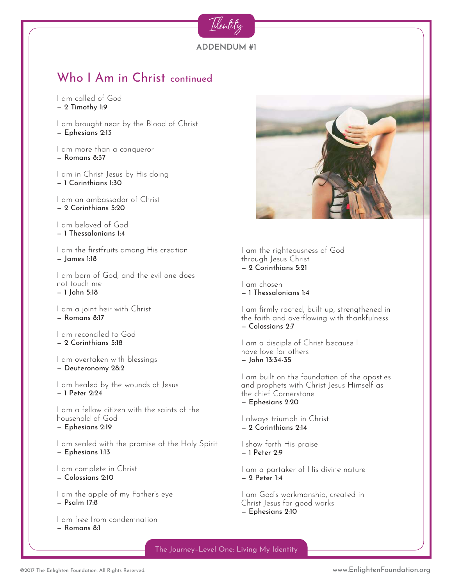

I am called of God — 2 Timothy 1:9

I am brought near by the Blood of Christ — Ephesians 2:13

I am more than a conqueror — Romans 8:37

I am in Christ Jesus by His doing — 1 Corinthians 1:30

I am an ambassador of Christ — 2 Corinthians 5:20

I am beloved of God — 1 Thessalonians 1:4

I am the firstfruits among His creation — James 1:18

I am born of God, and the evil one does not touch me — 1 John 5:18

I am a joint heir with Christ — Romans 8:17

I am reconciled to God — 2 Corinthians 5:18

I am overtaken with blessings — Deuteronomy 28:2

I am healed by the wounds of Jesus — 1 Peter 2:24

I am a fellow citizen with the saints of the household of God

— Ephesians 2:19

I am sealed with the promise of the Holy Spirit — Ephesians 1:13

I am complete in Christ

— Colossians 2:10

I am the apple of my Father's eye — Psalm 17:8

I am free from condemnation — Romans 8:1



I am the righteousness of God through Jesus Christ — 2 Corinthians 5:21

I am chosen — 1 Thessalonians 1:4

I am firmly rooted, built up, strengthened in the faith and overflowing with thankfulness — Colossians 2:7

I am a disciple of Christ because I have love for others — John 13:34-35

I am built on the foundation of the apostles and prophets with Christ Jesus Himself as the chief Cornerstone — Ephesians 2:20

I always triumph in Christ — 2 Corinthians 2:14

I show forth His praise — 1 Peter 2:9

I am a partaker of His divine nature — 2 Peter 1:4

I am God's workmanship, created in Christ Jesus for good works — Ephesians 2:10

The Journey–Level One: Living My Identity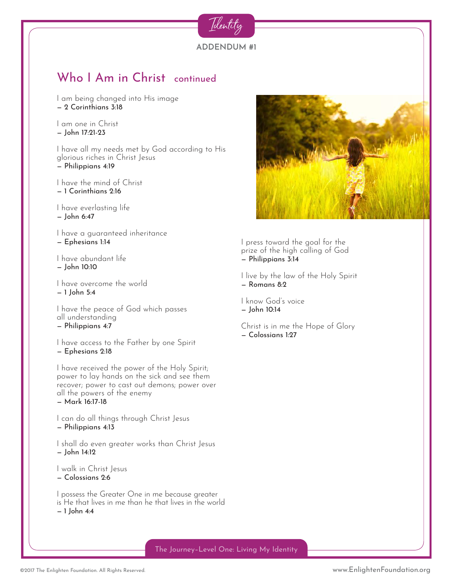

— 2 Corinthians 3:18

I am one in Christ — John 17:21-23

I have all my needs met by God according to His glorious riches in Christ Jesus — Philippians 4:19

I have the mind of Christ — 1 Corinthians 2:16

I have everlasting life — John 6:47

I have a guaranteed inheritance — Ephesians 1:14

I have abundant life — John 10:10

I have overcome the world — 1 John 5:4

I have the peace of God which passes all understanding — Philippians 4:7

I have access to the Father by one Spirit — Ephesians 2:18

I have received the power of the Holy Spirit; power to lay hands on the sick and see them recover; power to cast out demons; power over all the powers of the enemy — Mark 16:17-18

I can do all things through Christ Jesus — Philippians 4:13

I shall do even greater works than Christ Jesus — John 14:12

I walk in Christ Jesus

— Colossians 2:6

I possess the Greater One in me because greater is He that lives in me than he that lives in the world — 1 John 4:4



I press toward the goal for the prize of the high calling of God — Philippians 3:14

I live by the law of the Holy Spirit — Romans 8:2

I know God's voice — John 10:14

Christ is in me the Hope of Glory — Colossians 1:27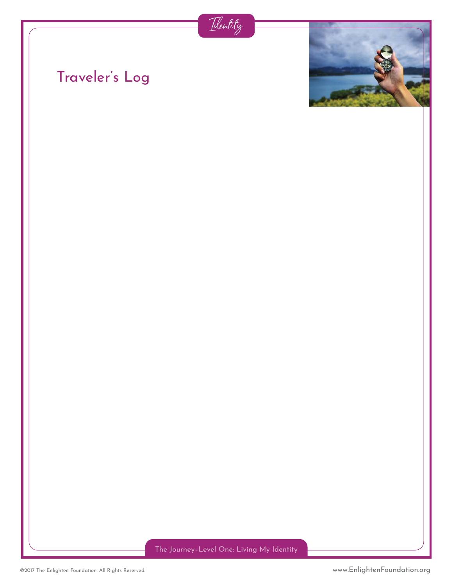



## Traveler's Log

The Journey–Level One: Living My Identity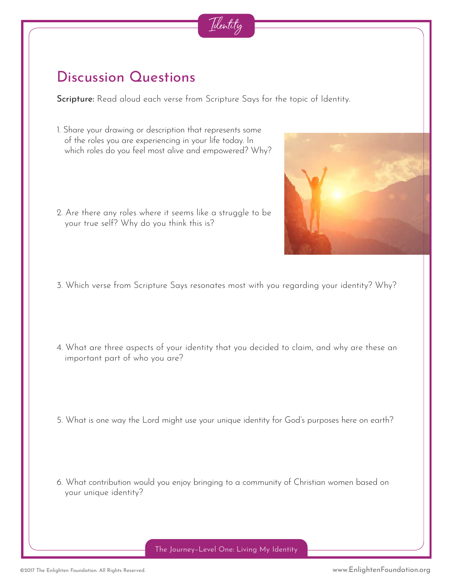

### Discussion Questions

Scripture: Read aloud each verse from Scripture Says for the topic of Identity.

- 1. Share your drawing or description that represents some of the roles you are experiencing in your life today. In which roles do you feel most alive and empowered? Why?
- 2. Are there any roles where it seems like a struggle to be your true self? Why do you think this is?
- 3. Which verse from Scripture Says resonates most with you regarding your identity? Why?
- 4. What are three aspects of your identity that you decided to claim, and why are these an important part of who you are?
- 5. What is one way the Lord might use your unique identity for God's purposes here on earth?
- 6. What contribution would you enjoy bringing to a community of Christian women based on your unique identity?

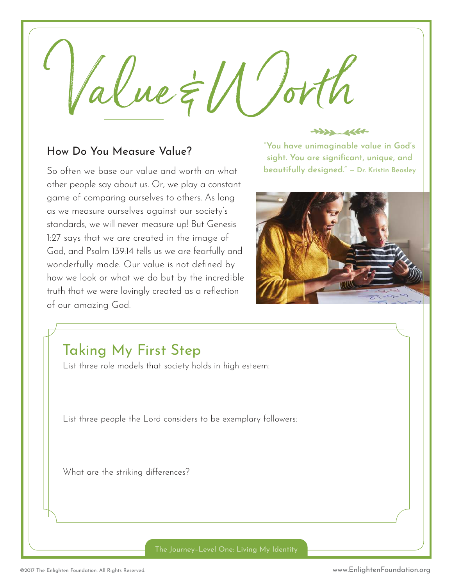$\alpha$ lue  $\notin U'/\sigma V$ 

#### How Do You Measure Value?

So often we base our value and worth on what other people say about us. Or, we play a constant game of comparing ourselves to others. As long as we measure ourselves against our society's standards, we will never measure up! But Genesis 1:27 says that we are created in the image of God, and Psalm 139:14 tells us we are fearfully and wonderfully made. Our value is not defined by how we look or what we do but by the incredible truth that we were lovingly created as a reflection of our amazing God.

 $\begin{picture}(20,20) \put(0,0){\vector(1,0){10}} \put(15,0){\vector(1,0){10}} \put(15,0){\vector(1,0){10}} \put(15,0){\vector(1,0){10}} \put(15,0){\vector(1,0){10}} \put(15,0){\vector(1,0){10}} \put(15,0){\vector(1,0){10}} \put(15,0){\vector(1,0){10}} \put(15,0){\vector(1,0){10}} \put(15,0){\vector(1,0){10}} \put(15,0){\vector(1,0){10}} \put(15,0){\vector(1$ 

**"You have unimaginable value in God's sight. You are significant, unique, and beautifully designed." — Dr. Kristin Beasley**



### Taking My First Step

List three role models that society holds in high esteem:

List three people the Lord considers to be exemplary followers:

What are the striking differences?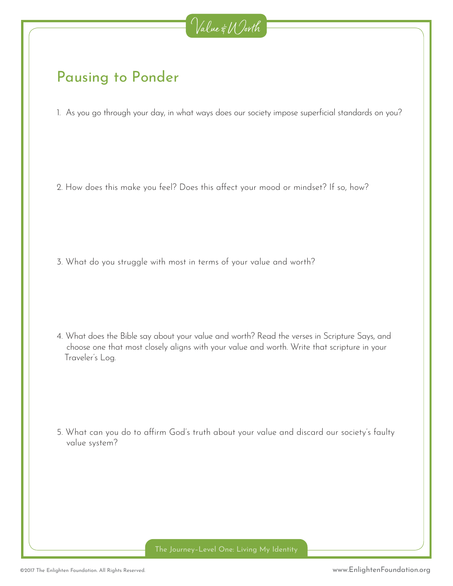

### Pausing to Ponder

1. As you go through your day, in what ways does our society impose superficial standards on you?

2. How does this make you feel? Does this affect your mood or mindset? If so, how?

3. What do you struggle with most in terms of your value and worth?

4. What does the Bible say about your value and worth? Read the verses in Scripture Says, and choose one that most closely aligns with your value and worth. Write that scripture in your Traveler's Log.

5. What can you do to affirm God's truth about your value and discard our society's faulty value system?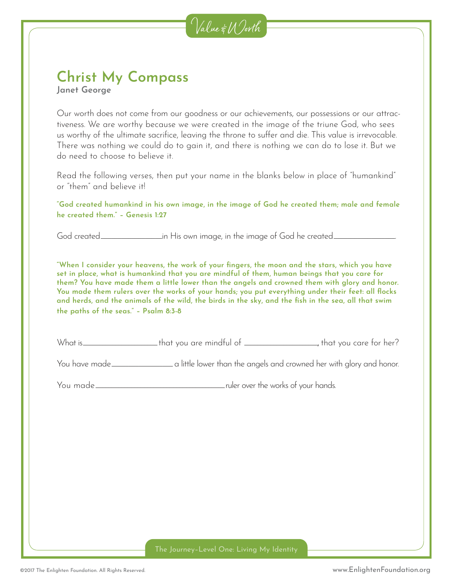

#### **Christ My Compass Janet George**

Our worth does not come from our goodness or our achievements, our possessions or our attractiveness. We are worthy because we were created in the image of the triune God, who sees us worthy of the ultimate sacrifice, leaving the throne to suffer and die. This value is irrevocable. There was nothing we could do to gain it, and there is nothing we can do to lose it. But we do need to choose to believe it.

Read the following verses, then put your name in the blanks below in place of "humankind" or "them" and believe it!

**"God created humankind in his own image, in the image of God he created them; male and female he created them." – Genesis 1:27**

God created\_\_\_\_\_\_\_\_\_\_\_\_\_\_\_\_\_\_ in His own image, in the image of God he created\_\_\_\_\_\_\_\_\_\_\_\_\_\_\_\_\_\_ .

**"When I consider your heavens, the work of your fingers, the moon and the stars, which you have set in place, what is humankind that you are mindful of them, human beings that you care for them? You have made them a little lower than the angels and crowned them with glory and honor. You made them rulers over the works of your hands; you put everything under their feet: all flocks and herds, and the animals of the wild, the birds in the sky, and the fish in the sea, all that swim the paths of the seas." – Psalm 8:3-8**

| What is.<br>that you are mindful of $\_\_$ | that vou care tor her? . |  |  |
|--------------------------------------------|--------------------------|--|--|
|--------------------------------------------|--------------------------|--|--|

You have made\_\_\_\_\_\_\_\_\_\_\_\_\_\_\_\_\_\_\_ a little lower than the angels and crowned her with glory and honor.

You made\_\_\_\_\_\_\_\_\_\_\_\_\_\_\_\_\_\_\_\_\_\_\_\_\_\_\_\_\_\_\_\_\_\_\_\_\_\_\_\_ ruler over the works of your hands.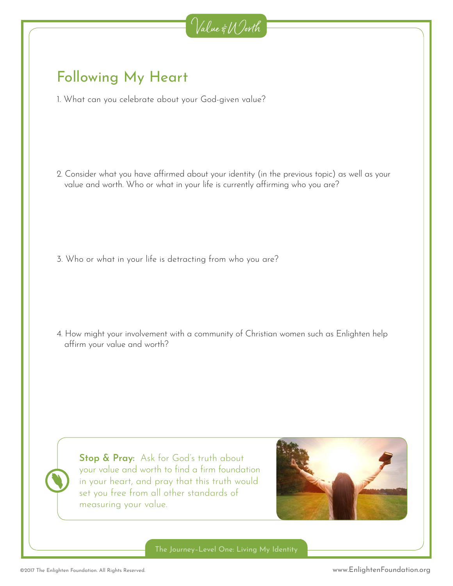

### Following My Heart

1. What can you celebrate about your God-given value?

2. Consider what you have affirmed about your identity (in the previous topic) as well as your value and worth. Who or what in your life is currently affirming who you are?

3. Who or what in your life is detracting from who you are?

4. How might your involvement with a community of Christian women such as Enlighten help affirm your value and worth?

**Stop & Pray:** Ask for God's truth about your value and worth to find a firm foundation in your heart, and pray that this truth would set you free from all other standards of measuring your value.

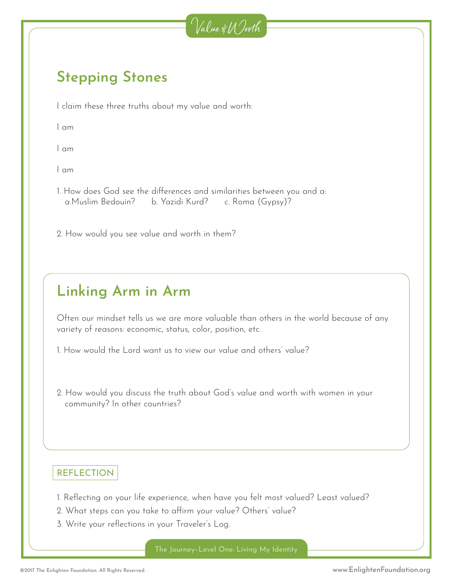

### **Stepping Stones**

I claim these three truths about my value and worth:

I am

I am

I am

1. How does God see the differences and similarities between you and a: a.Muslim Bedouin? b. Yazidi Kurd? c. Roma (Gypsy)?

2. How would you see value and worth in them?

# **Linking Arm in Arm**

Often our mindset tells us we are more valuable than others in the world because of any variety of reasons: economic, status, color, position, etc.

1. How would the Lord want us to view our value and others' value?

2. How would you discuss the truth about God's value and worth with women in your community? In other countries?

#### REFLECTION

- 1. Reflecting on your life experience, when have you felt most valued? Least valued?
- 2. What steps can you take to affirm your value? Others' value?
- 3. Write your reflections in your Traveler's Log.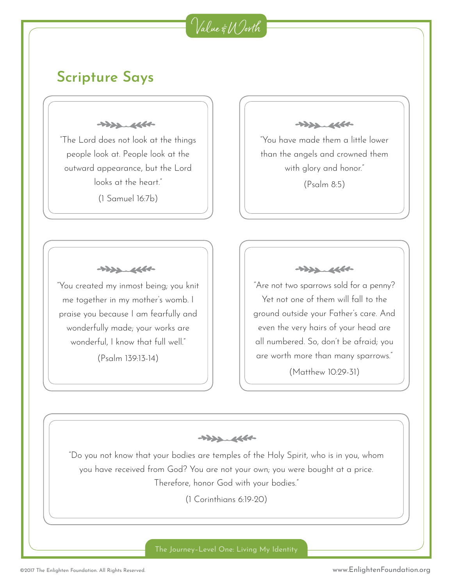## Value & Worth

#### **Scripture Says**

 $+222.4660$ 

"The Lord does not look at the things people look at. People look at the outward appearance, but the Lord looks at the heart"

(1 Samuel 16:7b)

 $\begin{picture}(120,115) \put(0,0){\vector(1,0){15}} \put(15,0){\vector(1,0){15}} \put(15,0){\vector(1,0){15}} \put(15,0){\vector(1,0){15}} \put(15,0){\vector(1,0){15}} \put(15,0){\vector(1,0){15}} \put(15,0){\vector(1,0){15}} \put(15,0){\vector(1,0){15}} \put(15,0){\vector(1,0){15}} \put(15,0){\vector(1,0){15}} \put(15,0){\vector(1,0){15}} \put(15,0){\vector$ 

"You have made them a little lower than the angels and crowned them with glory and honor." (Psalm 8:5)

 $+222.4660$ 

"You created my inmost being; you knit me together in my mother's womb. I praise you because I am fearfully and wonderfully made; your works are wonderful, I know that full well."

(Psalm 139:13-14)

 $+222.4660$ 

"Are not two sparrows sold for a penny? Yet not one of them will fall to the ground outside your Father's care. And even the very hairs of your head are all numbered. So, don't be afraid; you are worth more than many sparrows."

(Matthew 10:29-31)

 $+222.4664$ 

"Do you not know that your bodies are temples of the Holy Spirit, who is in you, whom you have received from God? You are not your own; you were bought at a price. Therefore, honor God with your bodies."

(1 Corinthians 6:19-20)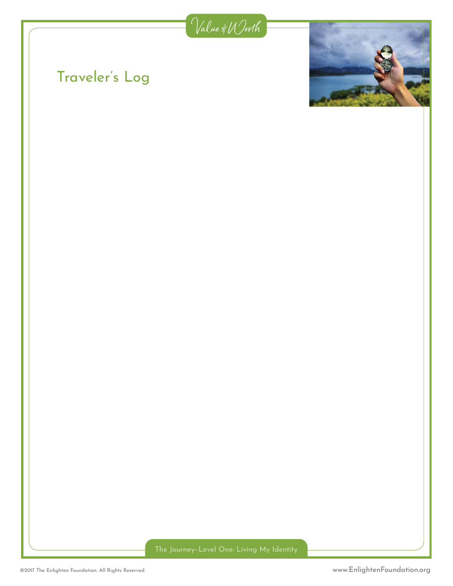

# Traveler's Log

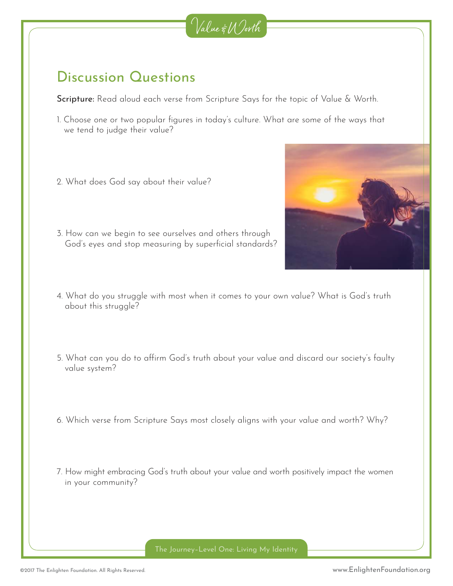

### Discussion Questions

Scripture: Read aloud each verse from Scripture Says for the topic of Value & Worth.

- 1. Choose one or two popular figures in today's culture. What are some of the ways that we tend to judge their value?
- 2. What does God say about their value?
- 3. How can we begin to see ourselves and others through God's eyes and stop measuring by superficial standards?
- 4. What do you struggle with most when it comes to your own value? What is God's truth about this struggle?
- 5. What can you do to affirm God's truth about your value and discard our society's faulty value system?
- 6. Which verse from Scripture Says most closely aligns with your value and worth? Why?
- 7. How might embracing God's truth about your value and worth positively impact the women in your community?

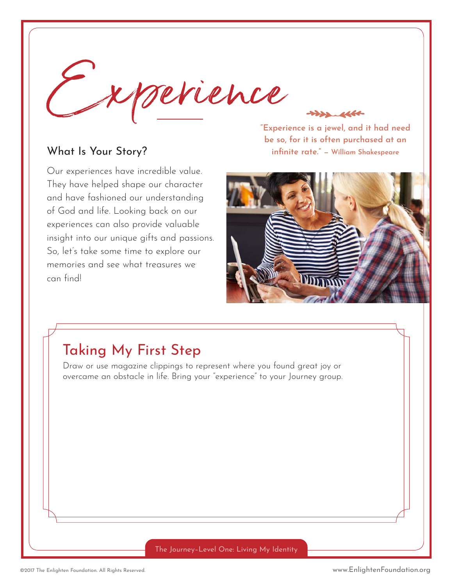

#### What Is Your Story?

Our experiences have incredible value. They have helped shape our character and have fashioned our understanding of God and life. Looking back on our experiences can also provide valuable insight into our unique gifts and passions. So, let's take some time to explore our memories and see what treasures we can find!

**"Experience is a jewel, and it had need be so, for it is often purchased at an infinite rate." — William Shakespeare** 



### Taking My First Step

Draw or use magazine clippings to represent where you found great joy or overcame an obstacle in life. Bring your "experience" to your Journey group.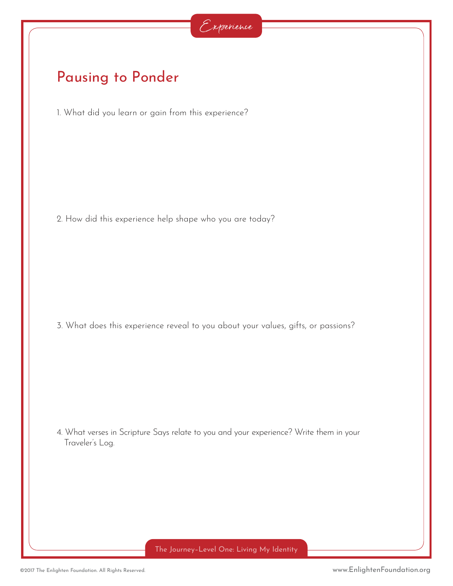### Pausing to Ponder

1. What did you learn or gain from this experience?

2. How did this experience help shape who you are today?

3. What does this experience reveal to you about your values, gifts, or passions?

4. What verses in Scripture Says relate to you and your experience? Write them in your Traveler's Log.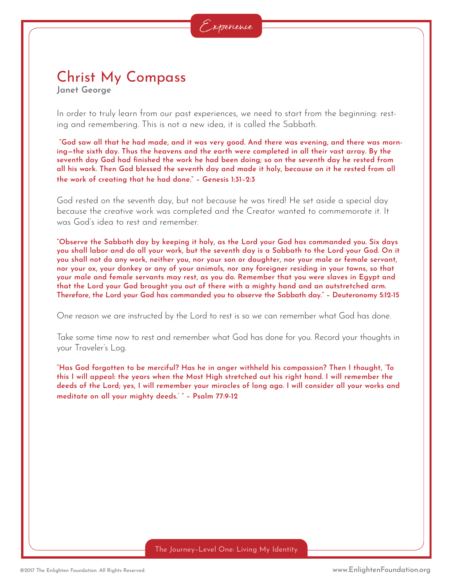# Christ My Compass

**Janet George**

In order to truly learn from our past experiences, we need to start from the beginning: resting and remembering. This is not a new idea, it is called the Sabbath.

 **"God saw all that he had made, and it was very good. And there was evening, and there was morning—the sixth day. Thus the heavens and the earth were completed in all their vast array. By the seventh day God had finished the work he had been doing; so on the seventh day he rested from all his work. Then God blessed the seventh day and made it holy, because on it he rested from all the work of creating that he had done." – Genesis 1:31–2:3**

God rested on the seventh day, but not because he was tired! He set aside a special day because the creative work was completed and the Creator wanted to commemorate it. It was God's idea to rest and remember.

**"Observe the Sabbath day by keeping it holy, as the Lord your God has commanded you. Six days you shall labor and do all your work, but the seventh day is a Sabbath to the Lord your God. On it you shall not do any work, neither you, nor your son or daughter, nor your male or female servant, nor your ox, your donkey or any of your animals, nor any foreigner residing in your towns, so that your male and female servants may rest, as you do. Remember that you were slaves in Egypt and that the Lord your God brought you out of there with a mighty hand and an outstretched arm. Therefore, the Lord your God has commanded you to observe the Sabbath day." – Deuteronomy 5:12-15**

One reason we are instructed by the Lord to rest is so we can remember what God has done.

Take some time now to rest and remember what God has done for you. Record your thoughts in your Traveler's Log.

**"Has God forgotten to be merciful? Has he in anger withheld his compassion? Then I thought, 'To this I will appeal: the years when the Most High stretched out his right hand. I will remember the deeds of the Lord; yes, I will remember your miracles of long ago. I will consider all your works and meditate on all your mighty deeds.' " – Psalm 77:9-12**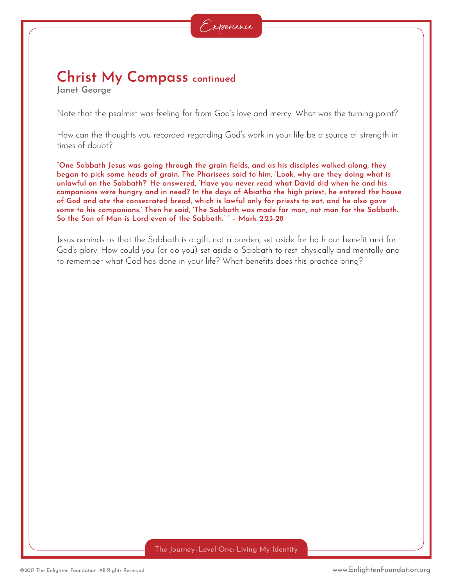## **Christ My Compass continued**

**Janet George**

Note that the psalmist was feeling far from God's love and mercy. What was the turning point?

How can the thoughts you recorded regarding God's work in your life be a source of strength in times of doubt?

**"One Sabbath Jesus was going through the grain fields, and as his disciples walked along, they began to pick some heads of grain. The Pharisees said to him, 'Look, why are they doing what is unlawful on the Sabbath?' He answered, 'Have you never read what David did when he and his companions were hungry and in need? In the days of Abiatha the high priest, he entered the house of God and ate the consecrated bread, which is lawful only for priests to eat, and he also gave some to his companions.' Then he said, 'The Sabbath was made for man, not man for the Sabbath. So the Son of Man is Lord even of the Sabbath.' " – Mark 2:23-28**

Jesus reminds us that the Sabbath is a gift, not a burden, set aside for both our benefit and for God's glory. How could you (or do you) set aside a Sabbath to rest physically and mentally and to remember what God has done in your life? What benefits does this practice bring?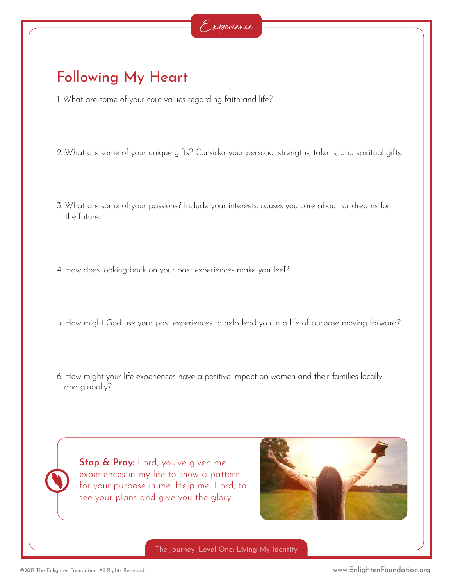### Following My Heart

- 1. What are some of your core values regarding faith and life?
- 2. What are some of your unique gifts? Consider your personal strengths, talents, and spiritual gifts.
- 3. What are some of your passions? Include your interests, causes you care about, or dreams for the future.
- 4. How does looking back on your past experiences make you feel?
- 5. How might God use your past experiences to help lead you in a life of purpose moving forward?
- 6. How might your life experiences have a positive impact on women and their families locally and globally?

**Stop & Pray:** Lord, you've given me experiences in my life to show a pattern for your purpose in me. Help me, Lord, to see your plans and give you the glory.

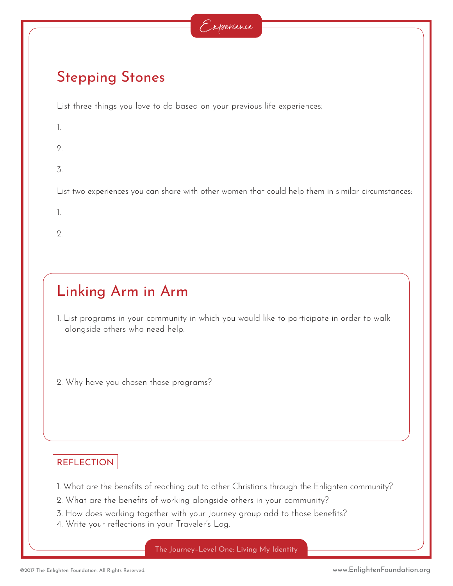

### Stepping Stones

List three things you love to do based on your previous life experiences:

| 1.             |  |
|----------------|--|
| $\overline{2}$ |  |

3.

List two experiences you can share with other women that could help them in similar circumstances:

1.

 $\mathcal{O}$ 

# Linking Arm in Arm

1. List programs in your community in which you would like to participate in order to walk alongside others who need help.

2. Why have you chosen those programs?

#### **REFLECTION**

- 1. What are the benefits of reaching out to other Christians through the Enlighten community?
- 2. What are the benefits of working alongside others in your community?
- 3. How does working together with your Journey group add to those benefits?
- 4. Write your reflections in your Traveler's Log.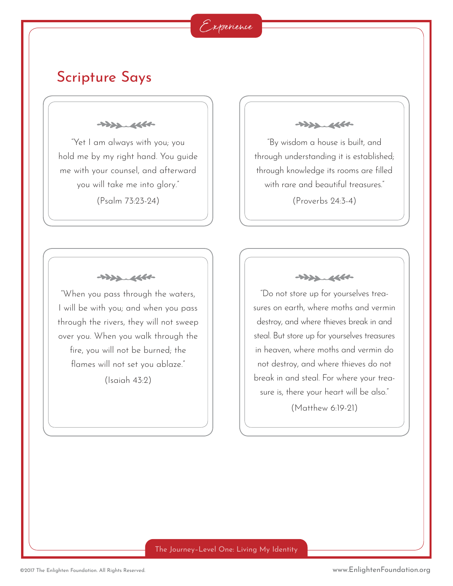#### Experience

### Scripture Says

 $+222.4660$ 

"Yet I am always with you; you hold me by my right hand. You guide me with your counsel, and afterward you will take me into glory."

(Psalm 73:23-24)

 $\begin{picture}(120,115) \put(0,0){\vector(1,0){15}} \put(15,0){\vector(1,0){15}} \put(15,0){\vector(1,0){15}} \put(15,0){\vector(1,0){15}} \put(15,0){\vector(1,0){15}} \put(15,0){\vector(1,0){15}} \put(15,0){\vector(1,0){15}} \put(15,0){\vector(1,0){15}} \put(15,0){\vector(1,0){15}} \put(15,0){\vector(1,0){15}} \put(15,0){\vector(1,0){15}} \put(15,0){\vector$ 

"When you pass through the waters, I will be with you; and when you pass through the rivers, they will not sweep over you. When you walk through the fire, you will not be burned; the flames will not set you ablaze."

(Isaiah 43:2)

 $+222.4660$ 

"By wisdom a house is built, and through understanding it is established; through knowledge its rooms are filled with rare and beautiful treasures."

(Proverbs 24:3-4)

 $+222.4660$ 

"Do not store up for yourselves treasures on earth, where moths and vermin destroy, and where thieves break in and steal. But store up for yourselves treasures in heaven, where moths and vermin do not destroy, and where thieves do not break in and steal. For where your treasure is, there your heart will be also."

(Matthew 6:19-21)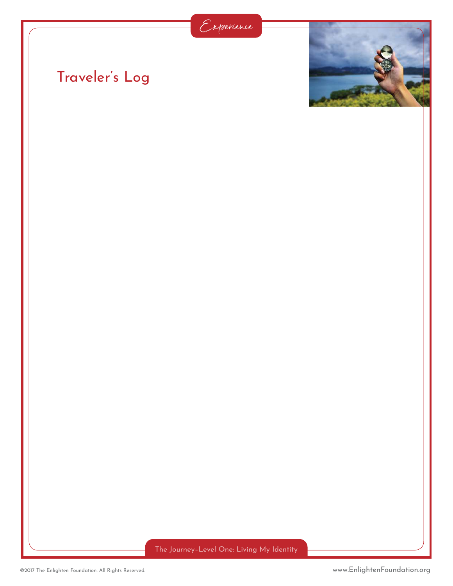



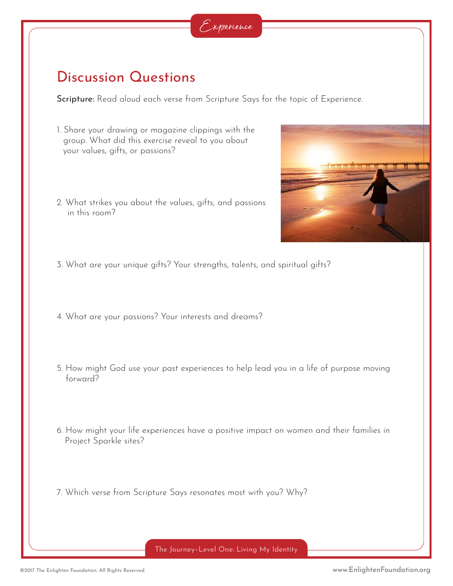

#### Discussion Questions

Scripture: Read aloud each verse from Scripture Says for the topic of Experience.

- 1. Share your drawing or magazine clippings with the group. What did this exercise reveal to you about your values, gifts, or passions?
- 2. What strikes you about the values, gifts, and passions in this room?



- 3. What are your unique gifts? Your strengths, talents, and spiritual gifts?
- 4. What are your passions? Your interests and dreams?
- 5. How might God use your past experiences to help lead you in a life of purpose moving forward?
- 6. How might your life experiences have a positive impact on women and their families in Project Sparkle sites?
- 7. Which verse from Scripture Says resonates most with you? Why?

The Journey–Level One: Living My Identity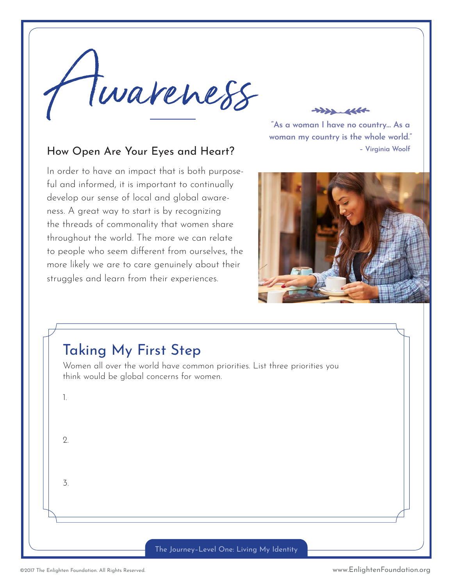

**"As a woman I have no country… As a woman my country is the whole world." – Virginia Woolf**

#### How Open Are Your Eyes and Heart?

In order to have an impact that is both purposeful and informed, it is important to continually develop our sense of local and global awareness. A great way to start is by recognizing the threads of commonality that women share throughout the world. The more we can relate to people who seem different from ourselves, the more likely we are to care genuinely about their struggles and learn from their experiences.



#### Taking My First Step

Women all over the world have common priorities. List three priorities you think would be global concerns for women.

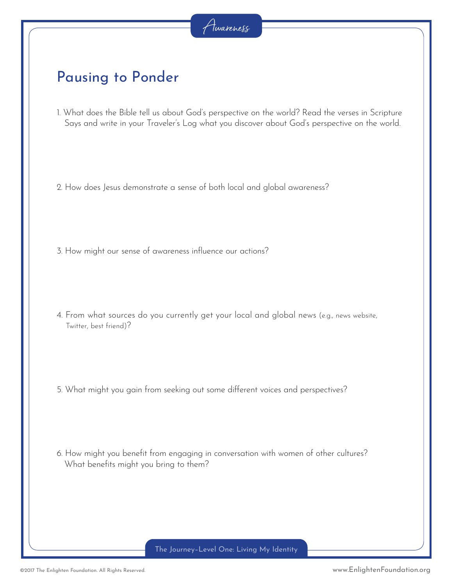### Pausing to Ponder

1. What does the Bible tell us about God's perspective on the world? Read the verses in Scripture Says and write in your Traveler's Log what you discover about God's perspective on the world.

2. How does Jesus demonstrate a sense of both local and global awareness?

- 3. How might our sense of awareness influence our actions?
- 4. From what sources do you currently get your local and global news (e.g., news website, Twitter, best friend)?
- 5. What might you gain from seeking out some different voices and perspectives?
- 6. How might you benefit from engaging in conversation with women of other cultures? What benefits might you bring to them?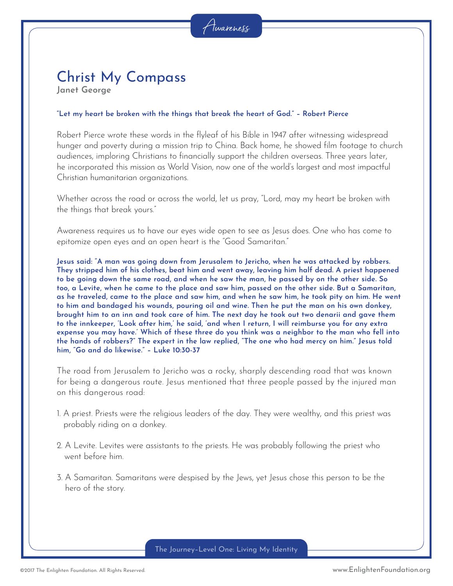#### Christ My Compass **Janet George**

#### **"Let my heart be broken with the things that break the heart of God." – Robert Pierce**

Robert Pierce wrote these words in the flyleaf of his Bible in 1947 after witnessing widespread hunger and poverty during a mission trip to China. Back home, he showed film footage to church audiences, imploring Christians to financially support the children overseas. Three years later, he incorporated this mission as World Vision, now one of the world's largest and most impactful Christian humanitarian organizations.

Whether across the road or across the world, let us pray, "Lord, may my heart be broken with the things that break yours."

Awareness requires us to have our eyes wide open to see as Jesus does. One who has come to epitomize open eyes and an open heart is the "Good Samaritan."

**Jesus said: "A man was going down from Jerusalem to Jericho, when he was attacked by robbers. They stripped him of his clothes, beat him and went away, leaving him half dead. A priest happened to be going down the same road, and when he saw the man, he passed by on the other side. So too, a Levite, when he came to the place and saw him, passed on the other side. But a Samaritan, as he traveled, came to the place and saw him, and when he saw him, he took pity on him. He went to him and bandaged his wounds, pouring oil and wine. Then he put the man on his own donkey, brought him to an inn and took care of him. The next day he took out two denarii and gave them to the innkeeper, 'Look after him,' he said, 'and when I return, I will reimburse you for any extra expense you may have.' Which of these three do you think was a neighbor to the man who fell into the hands of robbers?" The expert in the law replied, "The one who had mercy on him." Jesus told him, "Go and do likewise." – Luke 10:30-37**

The road from Jerusalem to Jericho was a rocky, sharply descending road that was known for being a dangerous route. Jesus mentioned that three people passed by the injured man on this dangerous road:

- 1. A priest. Priests were the religious leaders of the day. They were wealthy, and this priest was probably riding on a donkey.
- 2. A Levite. Levites were assistants to the priests. He was probably following the priest who went before him.
- 3. A Samaritan. Samaritans were despised by the Jews, yet Jesus chose this person to be the hero of the story.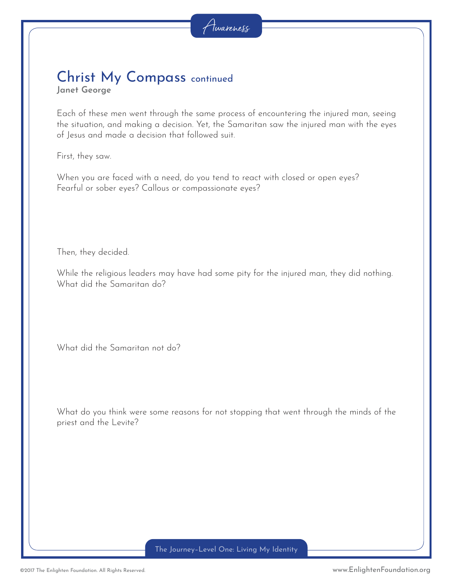# Christ My Compass continued

**Janet George**

Each of these men went through the same process of encountering the injured man, seeing the situation, and making a decision. Yet, the Samaritan saw the injured man with the eyes of Jesus and made a decision that followed suit.

First, they saw.

When you are faced with a need, do you tend to react with closed or open eyes? Fearful or sober eyes? Callous or compassionate eyes?

Then, they decided.

While the religious leaders may have had some pity for the injured man, they did nothing. What did the Samaritan do?

What did the Samaritan not do?

What do you think were some reasons for not stopping that went through the minds of the priest and the Levite?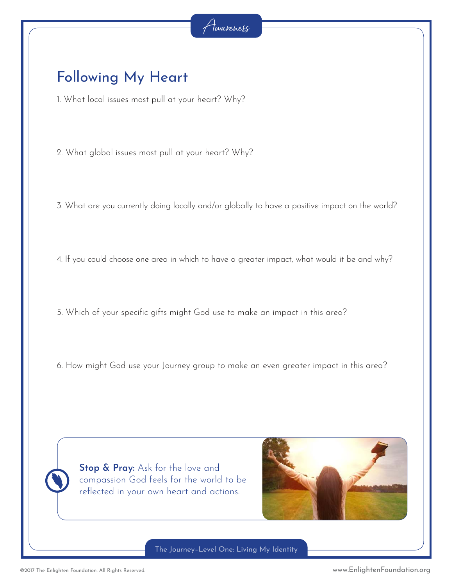### Following My Heart

1. What local issues most pull at your heart? Why?

2. What global issues most pull at your heart? Why?

3. What are you currently doing locally and/or globally to have a positive impact on the world?

4. If you could choose one area in which to have a greater impact, what would it be and why?

5. Which of your specific gifts might God use to make an impact in this area?

6. How might God use your Journey group to make an even greater impact in this area?

**Stop & Pray:** Ask for the love and compassion God feels for the world to be reflected in your own heart and actions.



The Journey–Level One: Living My Identity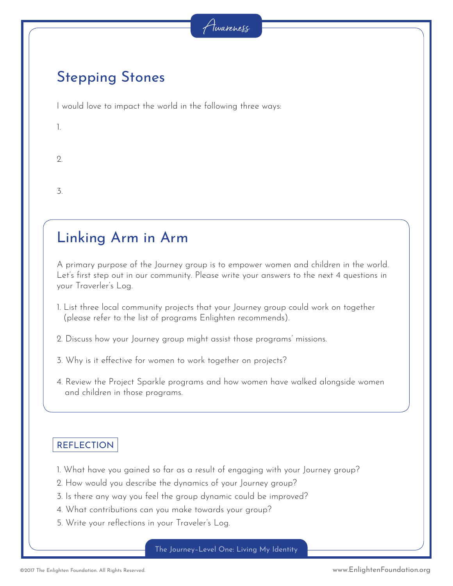### Stepping Stones

I would love to impact the world in the following three ways:

| - |  |
|---|--|
|   |  |

 $\mathcal{Q}$ 

3.

### Linking Arm in Arm

A primary purpose of the Journey group is to empower women and children in the world. Let's first step out in our community. Please write your answers to the next 4 questions in your Traverler's Log.

1. List three local community projects that your Journey group could work on together (please refer to the list of programs Enlighten recommends).

2. Discuss how your Journey group might assist those programs' missions.

- 3. Why is it effective for women to work together on projects?
- 4. Review the Project Sparkle programs and how women have walked alongside women and children in those programs.

#### **REFLECTION**

- 1. What have you gained so far as a result of engaging with your Journey group?
- 2. How would you describe the dynamics of your Journey group?
- 3. Is there any way you feel the group dynamic could be improved?
- 4. What contributions can you make towards your group?
- 5. Write your reflections in your Traveler's Log.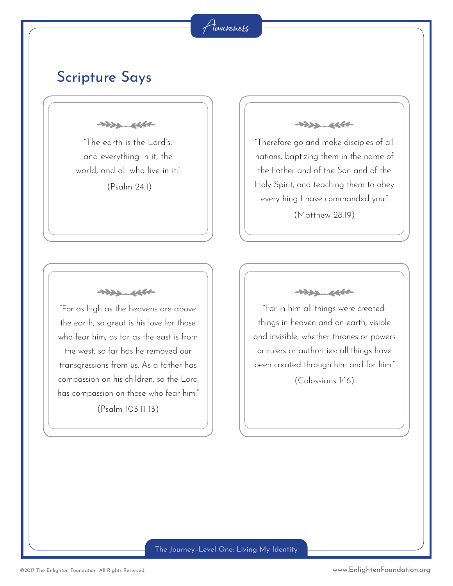#### Awareness

#### Scripture Says

 $+222.4660$ 

"The earth is the Lord's, and everything in it, the world, and all who live in it."

(Psalm 24:1)

 $\begin{picture}(120,115) \put(0,0){\dashbox{0.5}(11.5,0){ }} \put(15,0){\dashbox{0.5}(11.5,0){ }} \put(15,0){\dashbox{0.5}(11.5,0){ }} \put(15,0){\dashbox{0.5}(11.5,0){ }} \put(15,0){\dashbox{0.5}(11.5,0){ }} \put(15,0){\dashbox{0.5}(11.5,0){ }} \put(15,0){\dashbox{0.5}(11.5,0){ }} \put(15,0){\dashbox{0.5}(11.5,0){ }} \put(15,0){\dashbox{0.5}($ 

"For as high as the heavens are above the earth, so great is his love for those who fear him; as far as the east is from the west, so far has he removed our transgressions from us. As a father has compassion on his children, so the Lord has compassion on those who fear him."

(Psalm 103:11-13)

 $+222.4660$ 

"Therefore go and make disciples of all nations, baptizing them in the name of the Father and of the Son and of the Holy Spirit, and teaching them to obey everything I have commanded you."

(Matthew 28:19)



"For in him all things were created: things in heaven and on earth, visible and invisible, whether thrones or powers or rulers or authorities; all things have been created through him and for him."

(Colossians 1:16)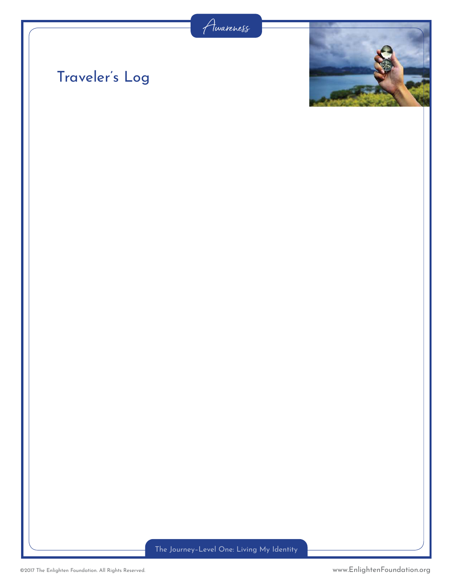

# Traveler's Log

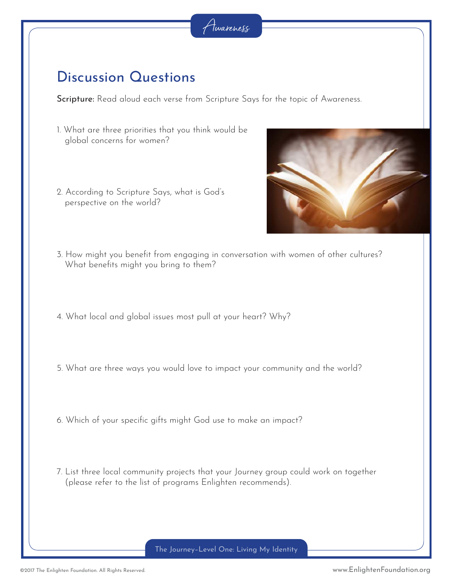### Discussion Questions

Scripture: Read aloud each verse from Scripture Says for the topic of Awareness.

- 1. What are three priorities that you think would be global concerns for women?
- 2. According to Scripture Says, what is God's perspective on the world?



- 3. How might you benefit from engaging in conversation with women of other cultures? What benefits might you bring to them?
- 4. What local and global issues most pull at your heart? Why?
- 5. What are three ways you would love to impact your community and the world?
- 6. Which of your specific gifts might God use to make an impact?
- 7. List three local community projects that your Journey group could work on together (please refer to the list of programs Enlighten recommends).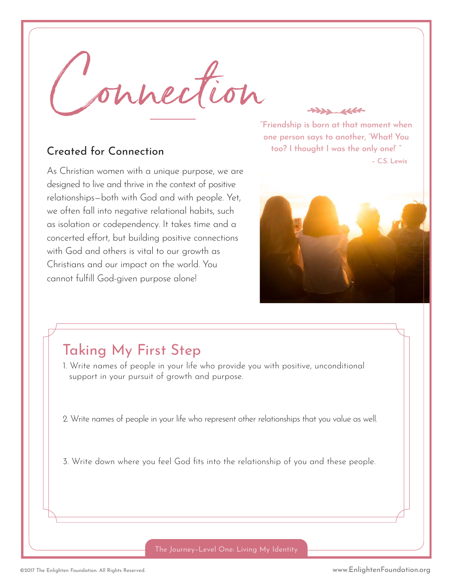Connection

#### Created for Connection

As Christian women with a unique purpose, we are designed to live and thrive in the context of positive relationships—both with God and with people. Yet, we often fall into negative relational habits, such as isolation or codependency. It takes time and a concerted effort, but building positive connections with God and others is vital to our growth as Christians and our impact on the world. You cannot fulfill God-given purpose alone!

**"Friendship is born at that moment when one person says to another, 'What! You too? I thought I was the only one!' " – C.S. Lewis**

 $\begin{picture}(120,115) \put(0,0){\line(1,0){15}} \put(15,0){\line(1,0){15}} \put(15,0){\line(1,0){15}} \put(15,0){\line(1,0){15}} \put(15,0){\line(1,0){15}} \put(15,0){\line(1,0){15}} \put(15,0){\line(1,0){15}} \put(15,0){\line(1,0){15}} \put(15,0){\line(1,0){15}} \put(15,0){\line(1,0){15}} \put(15,0){\line(1,0){15}} \put(15,0){\line$ 



### Taking My First Step

1. Write names of people in your life who provide you with positive, unconditional support in your pursuit of growth and purpose.

2. Write names of people in your life who represent other relationships that you value as well.

3. Write down where you feel God fits into the relationship of you and these people.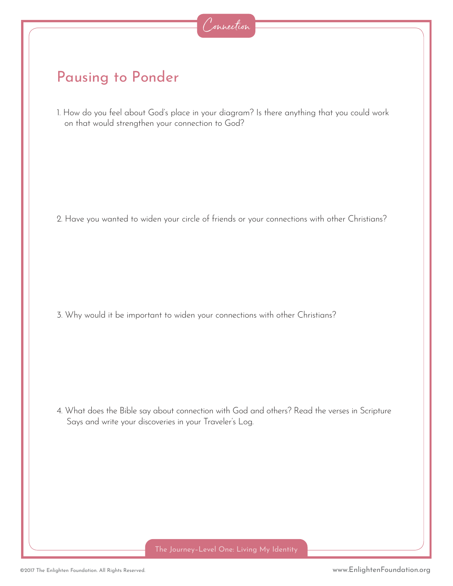### Pausing to Ponder

1. How do you feel about God's place in your diagram? Is there anything that you could work on that would strengthen your connection to God?

2. Have you wanted to widen your circle of friends or your connections with other Christians?

3. Why would it be important to widen your connections with other Christians?

4. What does the Bible say about connection with God and others? Read the verses in Scripture Says and write your discoveries in your Traveler's Log.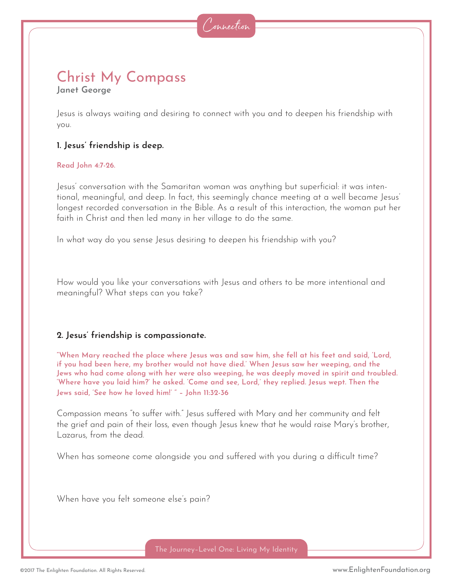# Christ My Compass

**Janet George**

Jesus is always waiting and desiring to connect with you and to deepen his friendship with you.

#### **1. Jesus' friendship is deep.**

#### **Read John 4:7-26.**

Jesus' conversation with the Samaritan woman was anything but superficial: it was intentional, meaningful, and deep. In fact, this seemingly chance meeting at a well became Jesus' longest recorded conversation in the Bible. As a result of this interaction, the woman put her faith in Christ and then led many in her village to do the same.

In what way do you sense Jesus desiring to deepen his friendship with you?

How would you like your conversations with Jesus and others to be more intentional and meaningful? What steps can you take?

#### **2. Jesus' friendship is compassionate.**

**"When Mary reached the place where Jesus was and saw him, she fell at his feet and said, 'Lord, if you had been here, my brother would not have died.' When Jesus saw her weeping, and the Jews who had come along with her were also weeping, he was deeply moved in spirit and troubled. 'Where have you laid him?' he asked. 'Come and see, Lord,' they replied. Jesus wept. Then the Jews said, 'See how he loved him!' " – John 11:32-36**

Compassion means "to suffer with." Jesus suffered with Mary and her community and felt the grief and pain of their loss, even though Jesus knew that he would raise Mary's brother, Lazarus, from the dead.

When has someone come alongside you and suffered with you during a difficult time?

When have you felt someone else's pain?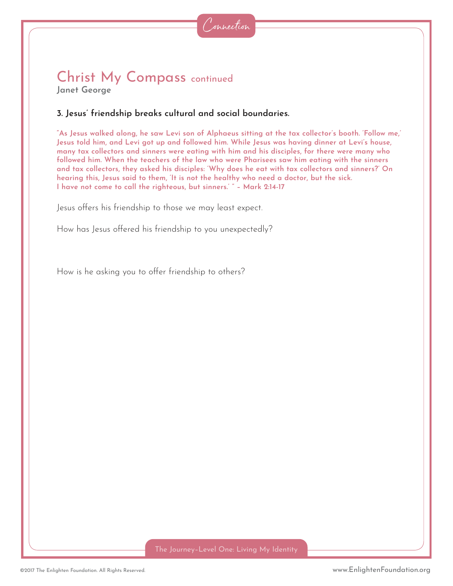### Christ My Compass continued

**Janet George**

#### **3. Jesus' friendship breaks cultural and social boundaries.**

**"As Jesus walked along, he saw Levi son of Alphaeus sitting at the tax collector's booth. 'Follow me,' Jesus told him, and Levi got up and followed him. While Jesus was having dinner at Levi's house, many tax collectors and sinners were eating with him and his disciples, for there were many who followed him. When the teachers of the law who were Pharisees saw him eating with the sinners and tax collectors, they asked his disciples: 'Why does he eat with tax collectors and sinners?' On hearing this, Jesus said to them, 'It is not the healthy who need a doctor, but the sick. I have not come to call the righteous, but sinners.' " – Mark 2:14-17**

Jesus offers his friendship to those we may least expect.

How has Jesus offered his friendship to you unexpectedly?

How is he asking you to offer friendship to others?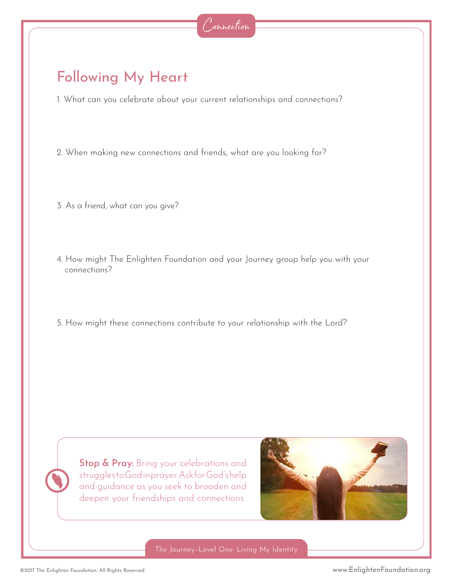### Following My Heart

1. What can you celebrate about your current relationships and connections?

- 2. When making new connections and friends, what are you looking for?
- 3. As a friend, what can you give?
- 4. How might The Enlighten Foundation and your Journey group help you with your connections?
- 5. How might these connections contribute to your relationship with the Lord?

**Stop & Pray:** Bring your celebrations and struggles to God in prayer. Ask for God's help and guidance as you seek to broaden and deepen your friendships and connections.

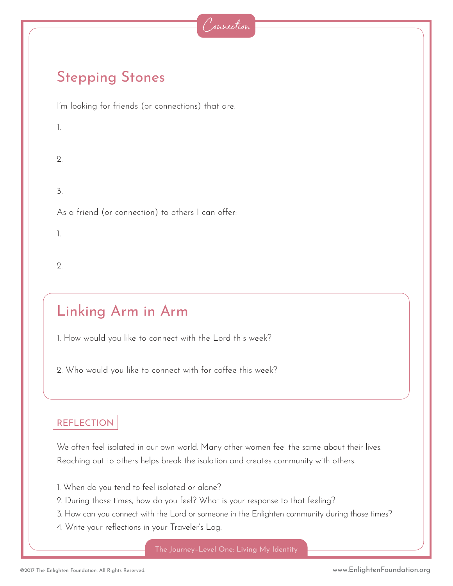### Stepping Stones

I'm looking for friends (or connections) that are:

1.

2.

3.

As a friend (or connection) to others I can offer:

1.

2.

## Linking Arm in Arm

1. How would you like to connect with the Lord this week?

2. Who would you like to connect with for coffee this week?

#### REFLECTION

We often feel isolated in our own world. Many other women feel the same about their lives. Reaching out to others helps break the isolation and creates community with others.

- 1. When do you tend to feel isolated or alone?
- 2. During those times, how do you feel? What is your response to that feeling?
- 3. How can you connect with the Lord or someone in the Enlighten community during those times?
- 4. Write your reflections in your Traveler's Log.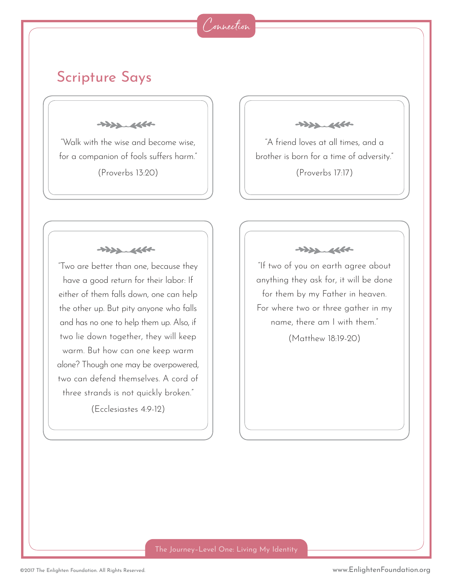#### Connection

### Scripture Says

 $+222.4660$ 

"Walk with the wise and become wise, for a companion of fools suffers harm."

(Proverbs 13:20)

 $+222.4660$ 

"Two are better than one, because they have a good return for their labor: If either of them falls down, one can help the other up. But pity anyone who falls and has no one to help them up. Also, if two lie down together, they will keep warm. But how can one keep warm alone? Though one may be overpowered, two can defend themselves. A cord of three strands is not quickly broken."

(Ecclesiastes 4:9-12)

 $+222.4660$ 

"A friend loves at all times, and a brother is born for a time of adversity."

(Proverbs 17:17)

 $\begin{picture}(120,115) \put(0,0){\vector(1,0){15}} \put(15,0){\vector(1,0){15}} \put(15,0){\vector(1,0){15}} \put(15,0){\vector(1,0){15}} \put(15,0){\vector(1,0){15}} \put(15,0){\vector(1,0){15}} \put(15,0){\vector(1,0){15}} \put(15,0){\vector(1,0){15}} \put(15,0){\vector(1,0){15}} \put(15,0){\vector(1,0){15}} \put(15,0){\vector(1,0){15}} \put(15,0){\vector$ 

"If two of you on earth agree about anything they ask for, it will be done for them by my Father in heaven. For where two or three gather in my name, there am I with them."

(Matthew 18:19-20)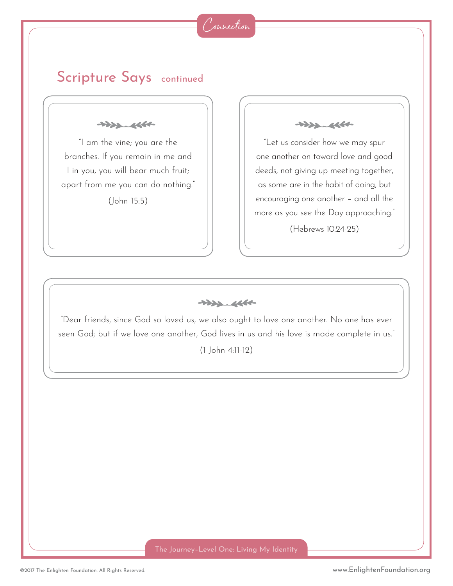

#### Scripture Says continued

 $+222.4660$ 

"I am the vine; you are the branches. If you remain in me and I in you, you will bear much fruit; apart from me you can do nothing."

(John 15:5)

 $+222.4660$ 

"Let us consider how we may spur one another on toward love and good deeds, not giving up meeting together, as some are in the habit of doing, but encouraging one another – and all the more as you see the Day approaching."

(Hebrews 10:24-25)

 $\begin{picture}(120,115) \put(0,0){\vector(1,0){15}} \put(15,0){\vector(1,0){15}} \put(15,0){\vector(1,0){15}} \put(15,0){\vector(1,0){15}} \put(15,0){\vector(1,0){15}} \put(15,0){\vector(1,0){15}} \put(15,0){\vector(1,0){15}} \put(15,0){\vector(1,0){15}} \put(15,0){\vector(1,0){15}} \put(15,0){\vector(1,0){15}} \put(15,0){\vector(1,0){15}} \put(15,0){\vector$ 

"Dear friends, since God so loved us, we also ought to love one another. No one has ever seen God; but if we love one another, God lives in us and his love is made complete in us."

(1 John 4:11-12)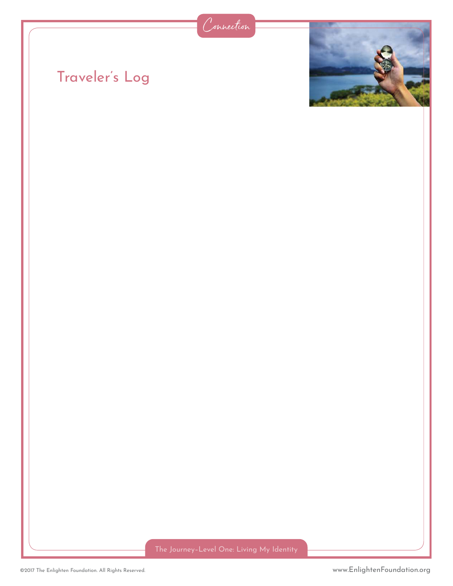

# Traveler's Log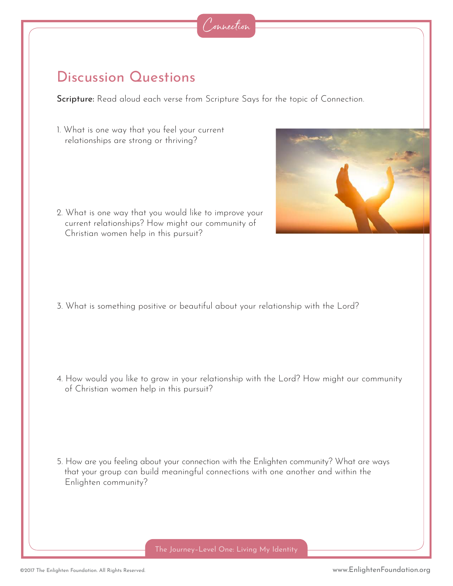### Discussion Questions

Scripture: Read aloud each verse from Scripture Says for the topic of Connection.

1. What is one way that you feel your current relationships are strong or thriving?

2. What is one way that you would like to improve your current relationships? How might our community of Christian women help in this pursuit?

3. What is something positive or beautiful about your relationship with the Lord?

4. How would you like to grow in your relationship with the Lord? How might our community of Christian women help in this pursuit?

5. How are you feeling about your connection with the Enlighten community? What are ways that your group can build meaningful connections with one another and within the Enlighten community?